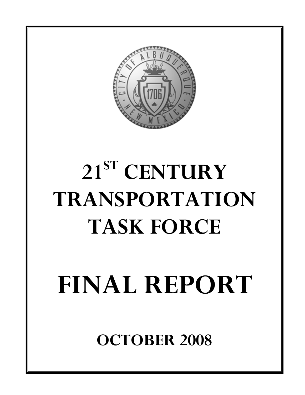

# **21ST CENTURY TRANSPORTATION TASK FORCE**

# **FINAL REPORT**

**OCTOBER 2008**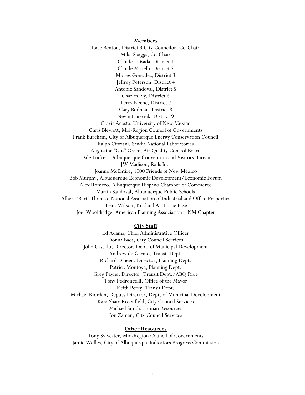**Members** Isaac Benton, District 3 City Councilor, Co-Chair Mike Skaggs, Co-Chair Claude Luisada, District 1 Claude Morelli, District 2 Moises Gonzalez, District 3 Jeffrey Peterson, District 4 Antonio Sandoval, District 5 Charles Ivy, District 6 Terry Keene, District 7 Gary Bodman, District 8 Nevin Harwick, District 9 Clovis Acosta, University of New Mexico Chris Blewett, Mid-Region Council of Governments Frank Burcham, City of Albuquerque Energy Conservation Council Ralph Cipriani, Sandia National Laboratories Augustine "Gus" Grace, Air Quality Control Board Dale Lockett, Albuquerque Convention and Visitors Bureau JW Madison, Rails Inc. Joanne McEntire, 1000 Friends of New Mexico Bob Murphy, Albuquerque Economic Development/Economic Forum Alex Romero, Albuquerque Hispano Chamber of Commerce Martin Sandoval, Albuquerque Public Schools Albert "Bert" Thomas, National Association of Industrial and Office Properties Brent Wilson, Kirtland Air Force Base Joel Wooldridge, American Planning Association – NM Chapter

#### **City Staff**

Ed Adams, Chief Administrative Officer Donna Baca, City Council Services John Castillo, Director, Dept. of Municipal Development Andrew de Garmo, Transit Dept. Richard Dineen, Director, Planning Dept. Patrick Montoya, Planning Dept. Greg Payne, Director, Transit Dept./ABQ Ride Tony Pedroncelli, Office of the Mayor Keith Perry, Transit Dept. Michael Riordan, Deputy Director, Dept. of Municipal Development Kara Shair-Rosenfield, City Council Services Michael Smith, Human Resources Jon Zaman, City Council Services

#### **Other Resources**

Tony Sylvester, Mid-Region Council of Governments Jamie Welles, City of Albuquerque Indicators Progress Commission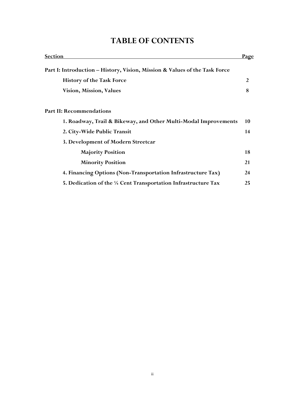| <u>Section</u>                                                             | <u>Page</u> |
|----------------------------------------------------------------------------|-------------|
| Part I: Introduction – History, Vision, Mission & Values of the Task Force |             |
| <b>History of the Task Force</b>                                           | 2           |
| <b>Vision, Mission, Values</b>                                             | 8           |
| <b>Part II: Recommendations</b>                                            |             |
| 1. Roadway, Trail & Bikeway, and Other Multi-Modal Improvements            | 10          |
| 2. City-Wide Public Transit                                                | 14          |
| 3. Development of Modern Streetcar                                         |             |
| <b>Majority Position</b>                                                   | 18          |
| <b>Minority Position</b>                                                   | 21          |
| 4. Financing Options (Non-Transportation Infrastructure Tax)               | 24          |
| 5. Dedication of the 1/4 Cent Transportation Infrastructure Tax            | 25          |

## **TABLE OF CONTENTS**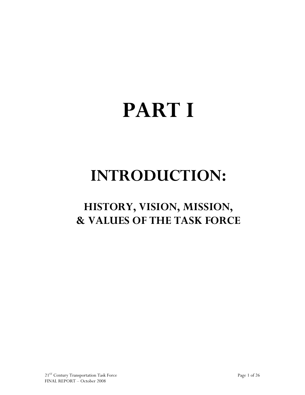# **PART I**

# **INTRODUCTION:**

# **HISTORY, VISION, MISSION, & VALUES OF THE TASK FORCE**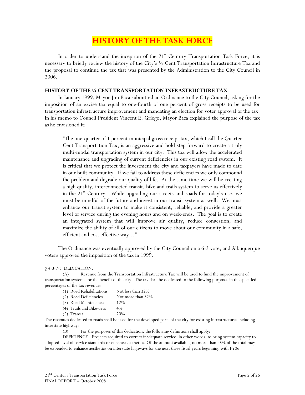## **HISTORY OF THE TASK FORCE**

In order to understand the inception of the  $21<sup>st</sup>$  Century Transportation Task Force, it is necessary to briefly review the history of the City's ¼ Cent Transportation Infrastructure Tax and the proposal to continue the tax that was presented by the Administration to the City Council in 2006.

#### **HISTORY OF THE ¼ CENT TRANSPORTATION INFRASTRUCTURE TAX**

In January 1999, Mayor Jim Baca submitted an Ordinance to the City Council, asking for the imposition of an excise tax equal to one-fourth of one percent of gross receipts to be used for transportation infrastructure improvement and mandating an election for voter approval of the tax. In his memo to Council President Vincent E. Griego, Mayor Baca explained the purpose of the tax as he envisioned it:

"The one-quarter of 1 percent municipal gross receipt tax, which I call the Quarter Cent Transportation Tax, is an aggressive and bold step forward to create a truly multi-modal transportation system in our city. This tax will allow the accelerated maintenance and upgrading of current deficiencies in our existing road system. It is critical that we protect the investment the city and taxpayers have made to date in our built community. If we fail to address these deficiencies we only compound the problem and degrade our quality of life. At the same time we will be creating a high quality, interconnected transit, bike and trails system to serve us effectively in the  $21<sup>st</sup>$  Century. While upgrading our streets and roads for today's use, we must be mindful of the future and invest in our transit system as well. We must enhance our transit system to make it consistent, reliable, and provide a greater level of service during the evening hours and on week-ends. The goal is to create an integrated system that will improve air quality, reduce congestion, and maximize the ability of all of our citizens to move about our community in a safe, efficient and cost effective way…"

The Ordinance was eventually approved by the City Council on a 6-3 vote, and Albuquerque voters approved the imposition of the tax in 1999.

§ 4-3-7-5 DEDICATION.

(A) Revenue from the Transportation Infrastructure Tax will be used to fund the improvement of transportation systems for the benefit of the city. The tax shall be dedicated to the following purposes in the specified percentages of the tax revenues:

| (1) Road Rehabilitations | Not less than 32% |
|--------------------------|-------------------|
| (2) Road Deficiencies    | Not more than 32% |
| (3) Road Maintenance     | 12%               |
| (4) Trails and Bikeways  | $4\%$             |
| $(5)$ Transit            | 20%               |
|                          |                   |

The revenues dedicated to roads shall be used for the developed parts of the city for existing infrastructures including interstate highways.

(B) For the purposes of this dedication, the following definitions shall apply:

DEFICIENCY. Projects required to correct inadequate service, in other words, to bring system capacity to adopted level of service standards or enhance aesthetics. Of the amount available, no more than 25% of the total may be expended to enhance aesthetics on interstate highways for the next three fiscal years beginning with FY06.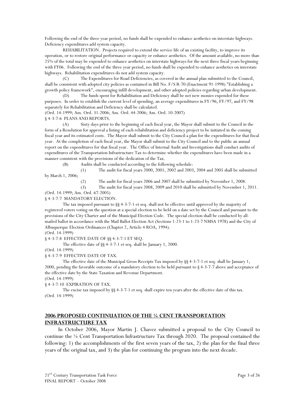Following the end of the three year period, no funds shall be expended to enhance aesthetics on interstate highways. Deficiency expenditures add system capacity.

REHABILITATION. Projects required to extend the service life of an existing facility, to improve its operation, or to restore original performance or capacity or enhance aesthetics. Of the amount available, no more than 25% of the total may be expended to enhance aesthetics on interstate highways for the next three fiscal years beginning with FY06. Following the end of the three year period, no funds shall be expended to enhance aesthetics on interstate highways. Rehabilitation expenditures do not add system capacity.

The Expenditures for Road Deficiencies, as covered in the annual plan submitted to the Council, shall be consistent with adopted city policies as contained in Bill No. F/S R-70 (Enactment 91-1998) "Establishing a growth policy framework", encouraging infill development, and other adopted policies regarding urban development.

(D) The funds spent for Rehabilitation and Deficiency shall be net new monies expended for these purposes. In order to establish the current level of spending, an average expenditures in FY/96, FY/97, and FY/98 separately for Rehabilitation and Deficiency shall be calculated.

(Ord. 14-1999; Am. Ord. 31-2006; Am. Ord. 44-2006; Am. Ord. 10-2007)

§ 4-3-7-6 PLANS AND REPORTS.

(A) Sixty days prior to the beginning of each fiscal year, the Mayor shall submit to the Council in the form of a Resolution for approval a listing of each rehabilitation and deficiency project to be initiated in the coming fiscal year and its estimated costs. The Mayor shall submit to the City Council a plan for the expenditures for that fiscal year. At the completion of each fiscal year, the Mayor shall submit to the City Council and to the public an annual report on the expenditures for that fiscal year. The Office of Internal Audit and Investigations shall conduct audits of expenditures of the Transportation Infrastructure Tax to determine whether the expenditures have been made in a manner consistent with the provisions of the dedication of the Tax.

(B) Audits shall be conducted according to the following schedule:

(1) The audit for fiscal years 2000, 2001, 2002 and 2003, 2004 and 2005 shall be submitted by March 1, 2006;

(2) The audit for fiscal years 2006 and 2007 shall be submitted by November 1, 2008.

(3) The audit for fiscal years 2008, 2009 and 2010 shall be submitted by November 1, 2011. (Ord. 14-1999; Am. Ord. 67-2005)

§ 4-3-7-7 MANDATORY ELECTION.

The tax imposed pursuant to §§ 4-3-7-1 et seq. shall not be effective until approved by the majority of registered voters voting on the question at a special election to be held on a date set by the Council and pursuant to the provisions of the City Charter and of the Municipal Election Code. The special election shall be conducted by allmailed ballot in accordance with the Mail Ballot Election Act (Sections 1-23-1 to 1-23-7 NMSA 1978) and the City of Albuquerque Election Ordinances (Chapter 2, Article 4 ROA, 1994).

(Ord. 14-1999)

§ 4-3-7-8 EFFECTIVE DATE OF §§ 4-3-7-1 ET SEQ.

The effective date of §§ 4-3-7-1 et seq. shall be January 1, 2000.

(Ord. 14-1999)

§ 4-3-7-9 EFFECTIVE DATE OF TAX.

The effective date of the Municipal Gross Receipts Tax imposed by §§ 4-3-7-1 et seq. shall be January 1, 2000, pending the favorable outcome of a mandatory election to be held pursuant to § 4-3-7-7 above and acceptance of the effective date by the State Taxation and Revenue Department.

(Ord. 14-1999)

§ 4-3-7-10 EXPIRATION OF TAX.

The excise tax imposed by §§ 4-3-7-1 et seq. shall expire ten years after the effective date of this tax. (Ord. 14-1999)

#### **2006 PROPOSED CONTINUATION OF THE ¼ CENT TRANSPORTATION INFRASTRUCTURE TAX**

In October 2006, Mayor Martin J. Chavez submitted a proposal to the City Council to continue the ¼ Cent Transportation Infrastructure Tax through 2020. The proposal contained the following: 1) the accomplishments of the first seven years of the tax, 2) the plan for the final three years of the original tax, and 3) the plan for continuing the program into the next decade.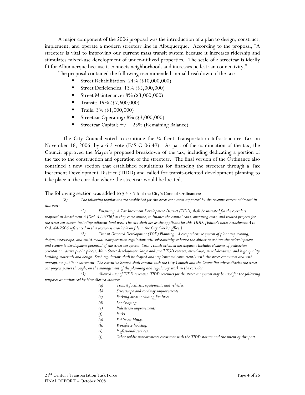A major component of the 2006 proposal was the introduction of a plan to design, construct, implement, and operate a modern streetcar line in Albuquerque. According to the proposal, "A streetcar is vital to improving our current mass transit system because it increases ridership and stimulates mixed-use development of under-utilized properties. The scale of a streetcar is ideally fit for Albuquerque because it connects neighborhoods and increases pedestrian connectivity."

The proposal contained the following recommended annual breakdown of the tax:

- Street Rehabilitation: 24% (\$10,000,000)
- Street Deficiencies: 13% (\$5,000,000)
- Street Maintenance: 8% (\$3,000,000)
- Transit:  $19\%$  (\$7,600,000)
- Trails:  $3\%$  (\$1,000,000)
- Streetcar Operating:  $8\%$  (\$3,000,000)
- Streetcar Capital: +/– 25% (Remaining Balance)

The City Council voted to continue the  $\frac{1}{4}$  Cent Transportation Infrastructure Tax on November 16, 2006, by a 6-3 vote (F/S O-06-49). As part of the continuation of the tax, the Council approved the Mayor's proposed breakdown of the tax, including dedicating a portion of the tax to the construction and operation of the streetcar. The final version of the Ordinance also contained a new section that established regulations for financing the streetcar through a Tax Increment Development District (TIDD) and called for transit-oriented development planning to take place in the corridor where the streetcar would be located.

The following section was added to § 4-3-7-5 of the City's Code of Ordinances:

*(B) The following regulations are established for the street car system supported by the revenue sources addressed in this part:* 

*(1) Financing. A Tax Increment Development District (TIDD) shall be initiated for the corridors proposed in Attachment A [Ord. 44-2006] as they come online, to finance the capital costs, operating costs, and related projects for the street car system including adjacent land uses. The city shall act as the applicant for this TIDD. [Editor's note: Attachment A to Ord. 44-2006 referenced in this section is available on file in the City Clerk's office.]* 

*(2) Transit Oriented Development (TOD) Planning. A comprehensive system of planning, zoning,*  design, streetscape, and multi-modal transportation regulations will substantially enhance the ability to achieve the redevelopment *and economic development potential of the street car system. Such Transit oriented development includes elements of pedestrian orientation, active public places, Main Street development, large and small TOD centers, mixed-use, mixed-densities, and high quality building materials and design. Such regulations shall be drafted and implemented concurrently with the street car system and with appropriate public involvement. The Executive Branch shall consult with the City Council and the Councillor whose district the street car project passes through, on the management of the planning and regulatory work in the corridor.* 

*(3) Allowed uses of TIDD revenues. TIDD revenues for the street car system may be used for the following purposes as authorized by New Mexico Statute:* 

- *(a) Transit facilities, equipment, and vehicles.*
- *(b) Streetscape and roadway improvements.*
- *(c) Parking areas including facilities.*
- *(d) Landscaping.*
- *(e) Pedestrian improvements.*
- *(f) Parks.*
	- *(g) Public buildings.*
	- *(h) Workforce housing.*
	- *(i) Professional services.*
	- *(j) Other public improvements consistent with the TIDD statute and the intent of this part.*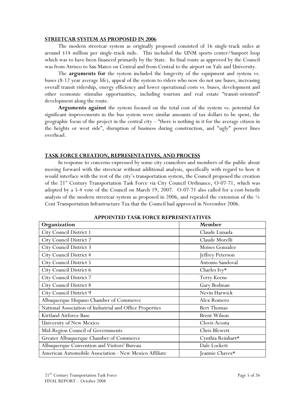#### **STREETCAR SYSTEM AS PROPOSED IN 2006**

The modern streetcar system as originally proposed consisted of 16 single-track miles at around \$14 million per single-track mile. This included the UNM sports center/Sunport loop which was to have been financed primarily by the State. Its final route as approved by the Council was from Atrisco to San Mateo on Central and from Central to the airport on Yale and University.

The **arguments for** the system included the longevity of the equipment and system vs. buses (8-12 year average life), appeal of the system to riders who now do not use buses, increasing overall transit ridership, energy efficiency and lower operational costs vs. buses, development and other economic stimulus opportunities, including tourism and real estate "transit-oriented" development along the route.

**Arguments against** the system focused on the total cost of the system vs. potential for significant improvements in the bus system were similar amounts of tax dollars to be spent, the geographic focus of the project in the central city – "there is nothing in it for the average citizen in the heights or west side", disruption of business during construction, and "ugly" power lines overhead.

#### **TASK FORCE CREATION, REPRESENTATIVES, AND PROCESS**

In response to concerns expressed by some city councilors and members of the public about moving forward with the streetcar without additional analysis, specifically with regard to how it would interface with the rest of the city's transportation system, the Council proposed the creation of the 21<sup>st</sup> Century Transportation Task Force via City Council Ordinance, O-07-71, which was adopted by a 5-4 vote of the Council on March 19, 2007. O-07-71 also called for a cost-benefit analysis of the modern streetcar system as proposed in 2006, and repealed the extension of the  $\frac{1}{4}$ Cent Transportation Infrastructure Tax that the Council had approved in November 2006.

| Organization                                             | Member              |
|----------------------------------------------------------|---------------------|
| City Council District 1                                  | Claude Luisada      |
| City Council District 2                                  | Claude Morelli      |
| <b>City Council District 3</b>                           | Moises Gonzalez     |
| City Council District 4                                  | Jeffrey Peterson    |
| <b>City Council District 5</b>                           | Antonio Sandoval    |
| City Council District 6                                  | Charles Ivy*        |
| City Council District 7                                  | Terry Keene         |
| <b>City Council District 8</b>                           | Gary Bodman         |
| City Council District 9                                  | Nevin Harwick       |
| Albuquerque Hispano Chamber of Commerce                  | Alex Romero         |
| National Association of Industrial and Office Properties | <b>Bert Thomas</b>  |
| Kirtland Airforce Base                                   | <b>Brent Wilson</b> |
| University of New Mexico                                 | Clovis Acosta       |
| Mid-Region Council of Governments                        | Chris Blewett       |
| Greater Albuquerque Chamber of Commerce                  | Cynthia Reinhart*   |
| Albuquerque Convention and Visitors' Bureau              | Dale Lockett        |
| American Automobile Association - New Mexico Affiliate   | Jeannie Chavez*     |

**APPOINTED TASK FORCE REPRESENTATIVES**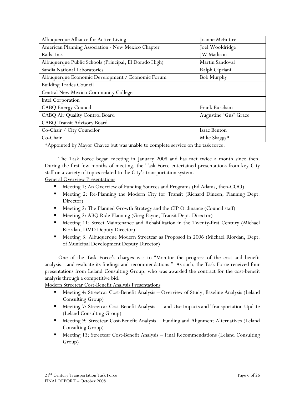| Albuquerque Alliance for Active Living                 | Joanne McEntire       |
|--------------------------------------------------------|-----------------------|
| American Planning Association - New Mexico Chapter     | Joel Wooldridge       |
| Rails, Inc.                                            | <b>JW</b> Madison     |
| Albuquerque Public Schools (Principal, El Dorado High) | Martin Sandoval       |
| Sandia National Laboratories                           | Ralph Cipriani        |
| Albuquerque Economic Development / Economic Forum      | <b>Bob Murphy</b>     |
| <b>Building Trades Council</b>                         |                       |
| Central New Mexico Community College                   |                       |
| Intel Corporation                                      |                       |
| <b>CABQ Energy Council</b>                             | Frank Burcham         |
| CABQ Air Quality Control Board                         | Augustine "Gus" Grace |
| CABQ Transit Advisory Board                            |                       |
| Co-Chair / City Councilor                              | Isaac Benton          |
| Co-Chair                                               | Mike Skaggs*          |

\*Appointed by Mayor Chavez but was unable to complete service on the task force.

The Task Force began meeting in January 2008 and has met twice a month since then. During the first few months of meeting, the Task Force entertained presentations from key City staff on a variety of topics related to the City's transportation system.

General Overview Presentations

- Meeting 1: An Overview of Funding Sources and Programs (Ed Adams, then-COO)
- Meeting 2: Re-Planning the Modern City for Transit (Richard Dineen, Planning Dept. Director)
- Meeting 2: The Planned Growth Strategy and the CIP Ordinance (Council staff)
- Meeting 2: ABQ Ride Planning (Greg Payne, Transit Dept. Director)
- **Meeting 11: Street Maintenance and Rehabilitation in the Twenty-first Century (Michael** Riordan, DMD Deputy Director)
- Meeting 3: Albuquerque Modern Streetcar as Proposed in 2006 (Michael Riordan, Dept. of Municipal Development Deputy Director)

One of the Task Force's charges was to "Monitor the progress of the cost and benefit analysis…and evaluate its findings and recommendations." As such, the Task Force received four presentations from Leland Consulting Group, who was awarded the contract for the cost-benefit analysis through a competitive bid.

Modern Streetcar Cost-Benefit Analysis Presentations

- Meeting 4: Streetcar Cost-Benefit Analysis Overview of Study, Baseline Analysis (Leland Consulting Group)
- **Meeting 7: Streetcar Cost-Benefit Analysis Land Use Impacts and Transportation Update** (Leland Consulting Group)
- **Meeting 9: Streetcar Cost-Benefit Analysis Funding and Alignment Alternatives (Leland** Consulting Group)
- Meeting 13: Streetcar Cost-Benefit Analysis Final Recommendations (Leland Consulting Group)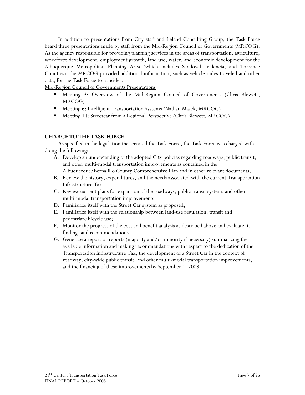In addition to presentations from City staff and Leland Consulting Group, the Task Force heard three presentations made by staff from the Mid-Region Council of Governments (MRCOG). As the agency responsible for providing planning services in the areas of transportation, agriculture, workforce development, employment growth, land use, water, and economic development for the Albuquerque Metropolitan Planning Area (which includes Sandoval, Valencia, and Torrance Counties), the MRCOG provided additional information, such as vehicle miles traveled and other data, for the Task Force to consider.

Mid-Region Council of Governments Presentations

- Meeting 3: Overview of the Mid-Region Council of Governments (Chris Blewett, MRCOG)
- **Meeting 6: Intelligent Transportation Systems (Nathan Masek, MRCOG)**
- Meeting 14: Streetcar from a Regional Perspective (Chris Blewett, MRCOG)

#### **CHARGE TO THE TASK FORCE**

As specified in the legislation that created the Task Force, the Task Force was charged with doing the following:

- A. Develop an understanding of the adopted City policies regarding roadways, public transit, and other multi-modal transportation improvements as contained in the Albuquerque/Bernalillo County Comprehensive Plan and in other relevant documents;
- B. Review the history, expenditures, and the needs associated with the current Transportation Infrastructure Tax;
- C. Review current plans for expansion of the roadways, public transit system, and other multi-modal transportation improvements;
- D. Familiarize itself with the Street Car system as proposed;
- E. Familiarize itself with the relationship between land-use regulation, transit and pedestrian/bicycle use;
- F. Monitor the progress of the cost and benefit analysis as described above and evaluate its findings and recommendations.
- G. Generate a report or reports (majority and/or minority if necessary) summarizing the available information and making recommendations with respect to the dedication of the Transportation Infrastructure Tax, the development of a Street Car in the context of roadway, city-wide public transit, and other multi-modal transportation improvements, and the financing of these improvements by September 1, 2008.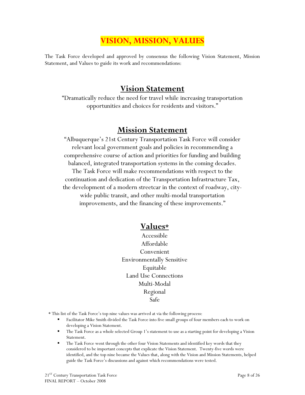## **VISION, MISSION, VALUES**

The Task Force developed and approved by consensus the following Vision Statement, Mission Statement, and Values to guide its work and recommendations:

### **Vision Statement**

"Dramatically reduce the need for travel while increasing transportation opportunities and choices for residents and visitors."

### **Mission Statement**

"Albuquerque's 21st Century Transportation Task Force will consider relevant local government goals and policies in recommending a comprehensive course of action and priorities for funding and building balanced, integrated transportation systems in the coming decades. The Task Force will make recommendations with respect to the continuation and dedication of the Transportation Infrastructure Tax, the development of a modern streetcar in the context of roadway, citywide public transit, and other multi-modal transportation improvements, and the financing of these improvements."

### **Values\***

- Accessible Affordable Convenient Environmentally Sensitive Equitable Land Use Connections Multi-Modal Regional Safe
- \* This list of the Task Force's top nine values was arrived at via the following process:
	- Facilitator Mike Smith divided the Task Force into five small groups of four members each to work on developing a Vision Statement.
	- The Task Force as a whole selected Group 1's statement to use as a starting point for developing a Vision Statement.
	- The Task Force went through the other four Vision Statements and identified key words that they considered to be important concepts that explicate the Vision Statement. Twenty-five words were identified, and the top nine became the Values that, along with the Vision and Mission Statements, helped guide the Task Force's discussions and against which recommendations were tested.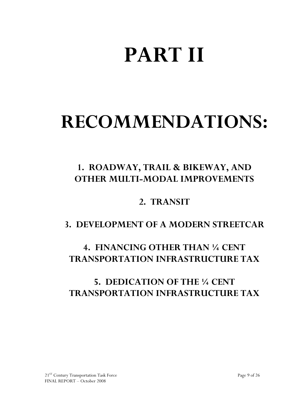# **PART II**

# **RECOMMENDATIONS:**

# **1. ROADWAY, TRAIL & BIKEWAY, AND OTHER MULTI-MODAL IMPROVEMENTS**

## **2. TRANSIT**

## **3. DEVELOPMENT OF A MODERN STREETCAR**

# **4. FINANCING OTHER THAN ¼ CENT TRANSPORTATION INFRASTRUCTURE TAX**

# **5. DEDICATION OF THE ¼ CENT TRANSPORTATION INFRASTRUCTURE TAX**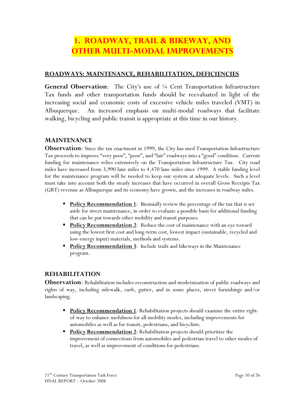## **1. ROADWAY, TRAIL & BIKEWAY, AND OTHER MULTI-MODAL IMPROVEMENTS**

#### **ROADWAYS: MAINTENANCE, REHABILITATION, DEFICIENCIES**

**General Observation**: The City's use of ¼ Cent Transportation Infrastructure Tax funds and other transportation funds should be reevaluated in light of the increasing social and economic costs of excessive vehicle miles traveled (VMT) in Albuquerque. An increased emphasis on multi-modal roadways that facilitate walking, bicycling and public transit is appropriate at this time in our history.

#### **MAINTENANCE**

**Observation**: Since the tax enactment in 1999, the City has used Transportation Infrastructure Tax proceeds to improve "very poor", "poor", and "fair" roadways into a "good" condition. Current funding for maintenance relies extensively on the Transportation Infrastructure Tax. City road miles have increased from 3,990 lane miles to 4,470 lane miles since 1999. A stable funding level for the maintenance program will be needed to keep our system at adequate levels. Such a level must take into account both the steady increases that have occurred in overall Gross Receipts Tax (GRT) revenue as Albuquerque and its economy have grown, and the increases in roadway miles.

- **Policy Recommendation 1**: Biennially review the percentage of the tax that is set aside for street maintenance, in order to evaluate a possible basis for additional funding that can be put towards other mobility and transit purposes.
- **Policy Recommendation 2:** Reduce the cost of maintenance with an eye toward using the lowest first cost and long-term cost, lowest impact (sustainable, recycled and low-energy input) materials, methods and systems.
- **Policy Recommendation 3**: Include trails and bikeways in the Maintenance program.

#### **REHABILITATION**

**Observation**: Rehabilitation includes reconstruction and modernization of public roadways and rights of way, including sidewalk, curb, gutter, and in some places, street furnishings and/or landscaping.

- **Policy Recommendation 1**: Rehabilitation projects should examine the entire rightof-way to enhance usefulness for all mobility modes, including improvements for automobiles as well as for transit, pedestrians, and bicyclists.
- **Policy Recommendation 2**: Rehabilitation projects should prioritize the improvement of connections from automobiles and pedestrian travel to other modes of travel, as well as improvement of conditions for pedestrians.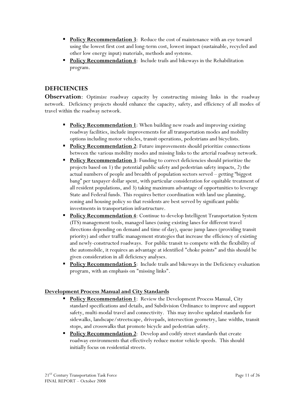- **Policy Recommendation 3**: Reduce the cost of maintenance with an eye toward using the lowest first cost and long-term cost, lowest impact (sustainable, recycled and other low energy input) materials, methods and systems.
- **Policy Recommendation 4**: Include trails and bikeways in the Rehabilitation program.

#### **DEFICIENCIES**

**Observation**: Optimize roadway capacity by constructing missing links in the roadway network. Deficiency projects should enhance the capacity, safety, and efficiency of all modes of travel within the roadway network.

- **Policy Recommendation 1**: When building new roads and improving existing roadway facilities, include improvements for all transportation modes and mobility options including motor vehicles, transit operations, pedestrians and bicyclists.
- **Policy Recommendation 2:** Future improvements should prioritize connections between the various mobility modes and missing links to the arterial roadway network.
- **Policy Recommendation 3:** Funding to correct deficiencies should prioritize the projects based on 1) the potential public safety and pedestrian safety impacts, 2) the actual numbers of people and breadth of population sectors served – getting "biggest bang" per taxpayer dollar spent, with particular consideration for equitable treatment of all resident populations, and 3) taking maximum advantage of opportunities to leverage State and Federal funds. This requires better coordination with land use planning, zoning and housing policy so that residents are best served by significant public investments in transportation infrastructure.
- **Policy Recommendation 4:** Continue to develop Intelligent Transportation System (ITS) management tools, managed lanes (using existing lanes for different travel directions depending on demand and time of day), queue jump lanes (providing transit priority) and other traffic management strategies that increase the efficiency of existing and newly-constructed roadways. For public transit to compete with the flexibility of the automobile, it requires an advantage at identified "choke points" and this should be given consideration in all deficiency analyses.
- **Policy Recommendation 5:** Include trails and bikeways in the Deficiency evaluation program, with an emphasis on "missing links".

#### **Development Process Manual and City Standards**

- **Policy Recommendation 1:** Review the Development Process Manual, City standard specifications and details, and Subdivision Ordinance to improve and support safety, multi-modal travel and connectivity. This may involve updated standards for sidewalks, landscape/streetscape, drivepads, intersection geometry, lane widths, transit stops, and crosswalks that promote bicycle and pedestrian safety.
- **Policy Recommendation 2:** Develop and codify street standards that create roadway environments that effectively reduce motor vehicle speeds. This should initially focus on residential streets.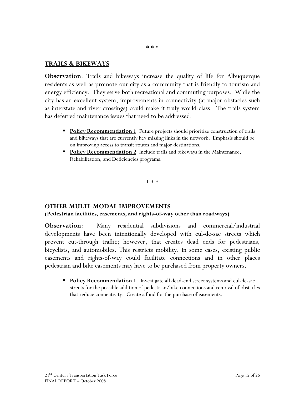#### **TRAILS & BIKEWAYS**

**Observation**: Trails and bikeways increase the quality of life for Albuquerque residents as well as promote our city as a community that is friendly to tourism and energy efficiency. They serve both recreational and commuting purposes. While the city has an excellent system, improvements in connectivity (at major obstacles such as interstate and river crossings) could make it truly world-class. The trails system has deferred maintenance issues that need to be addressed.

- **Policy Recommendation 1**: Future projects should prioritize construction of trails and bikeways that are currently key missing links in the network. Emphasis should be on improving access to transit routes and major destinations.
- **Policy Recommendation 2:** Include trails and bikeways in the Maintenance, Rehabilitation, and Deficiencies programs.

\* \* \*

#### **OTHER MULTI-MODAL IMPROVEMENTS**

#### **(Pedestrian facilities, easements, and rights-of-way other than roadways)**

**Observation**: Many residential subdivisions and commercial/industrial developments have been intentionally developed with cul-de-sac streets which prevent cut-through traffic; however, that creates dead ends for pedestrians, bicyclists, and automobiles. This restricts mobility. In some cases, existing public easements and rights-of-way could facilitate connections and in other places pedestrian and bike easements may have to be purchased from property owners.

**Policy Recommendation 1:** Investigate all dead-end street systems and cul-de-sac streets for the possible addition of pedestrian/bike connections and removal of obstacles that reduce connectivity. Create a fund for the purchase of easements.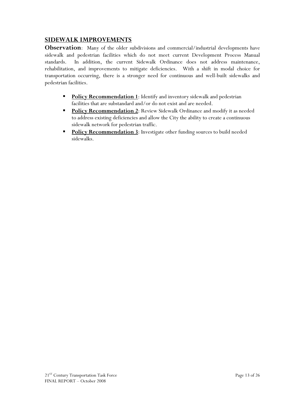#### **SIDEWALK IMPROVEMENTS**

**Observation**: Many of the older subdivisions and commercial/industrial developments have sidewalk and pedestrian facilities which do not meet current Development Process Manual standards. In addition, the current Sidewalk Ordinance does not address maintenance, rehabilitation, and improvements to mitigate deficiencies. With a shift in modal choice for transportation occurring, there is a stronger need for continuous and well-built sidewalks and pedestrian facilities.

- **Policy Recommendation 1:** Identify and inventory sidewalk and pedestrian facilities that are substandard and/or do not exist and are needed.
- **Policy Recommendation 2:** Review Sidewalk Ordinance and modify it as needed to address existing deficiencies and allow the City the ability to create a continuous sidewalk network for pedestrian traffic.
- **Policy Recommendation 3:** Investigate other funding sources to build needed sidewalks.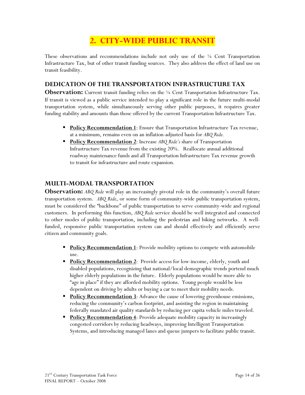## **2. CITY-WIDE PUBLIC TRANSIT**

These observations and recommendations include not only use of the ¼ Cent Transportation Infrastructure Tax, but of other transit funding sources. They also address the effect of land use on transit feasibility.

#### **DEDICATION OF THE TRANSPORTATION INFRASTRUCTURE TAX**

**Observation:** Current transit funding relies on the <sup>1</sup>/4 Cent Transportation Infrastructure Tax. If transit is viewed as a public service intended to play a significant role in the future multi-modal transportation system, while simultaneously serving other public purposes, it requires greater funding stability and amounts than those offered by the current Transportation Infrastructure Tax.

- **Policy Recommendation 1**: Ensure that Transportation Infrastructure Tax revenue, at a minimum, remains even on an inflation-adjusted basis for *ABQ Ride.*
- **Policy Recommendation 2:** Increase ABQ Ride's share of Transportation Infrastructure Tax revenue from the existing 20%. Reallocate annual additional roadway maintenance funds and all Transportation Infrastructure Tax revenue growth to transit for infrastructure and route expansion.

#### **MULTI-MODAL TRANSPORTATION**

**Observation:** ABQ Ride will play an increasingly pivotal role in the community's overall future transportation system. *ABQ Ride*, or some form of community-wide public transportation system, must be considered the "backbone" of public transportation to serve community-wide and regional customers. In performing this function, *ABQ Ride* service should be well integrated and connected to other modes of public transportation, including the pedestrian and biking networks. A wellfunded, responsive public transportation system can and should effectively and efficiently serve citizen and community goals.

- **Policy Recommendation 1:** Provide mobility options to compete with automobile use.
- **Policy Recommendation 2:** Provide access for low-income, elderly, youth and disabled populations, recognizing that national/local demographic trends portend much higher elderly populations in the future. Elderly populations would be more able to "age in place" if they are afforded mobility options. Young people would be less dependent on driving by adults or buying a car to meet their mobility needs.
- **Policy Recommendation 3**: Advance the cause of lowering greenhouse emissions, reducing the community's carbon footprint, and assisting the region in maintaining federally mandated air quality standards by reducing per capita vehicle miles traveled.
- **Policy Recommendation 4**: Provide adequate mobility capacity in increasingly congested corridors by reducing headways, improving Intelligent Transportation Systems, and introducing managed lanes and queue jumpers to facilitate public transit.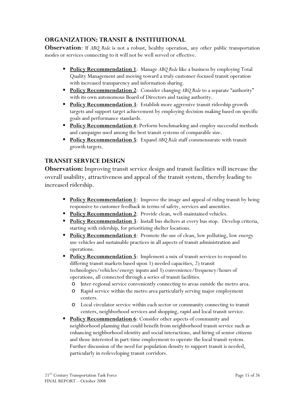#### **ORGANIZATION: TRANSIT & INSTITUTIONAL**

**Observation**: If *ABQ Ride* is not a robust, healthy operation, any other public transportation modes or services connecting to it will not be well served or effective.

- **Policy Recommendation 1**: Manage ABQ Ride like a business by employing Total Quality Management and moving toward a truly customer-focused transit operation with increased transparency and information sharing.
- **Policy Recommendation 2:** Consider changing ABQ Ride to a separate "authority" with its own autonomous Board of Directors and taxing authority.
- **Policy Recommendation 3**: Establish more aggressive transit ridership growth targets and support target achievement by employing decision-making based on specific goals and performance standards.
- **Policy Recommendation 4**: Perform benchmarking and employ successful methods and campaigns used among the best transit systems of comparable size.
- **Policy Recommendation 5**: Expand ABQ Ride staff commensurate with transit growth targets.

#### **TRANSIT SERVICE DESIGN**

**Observation:** Improving transit service design and transit facilities will increase the overall usability, attractiveness and appeal of the transit system, thereby leading to increased ridership.

- **Policy Recommendation 1**: Improve the image and appeal of riding transit by being responsive to customer feedback in terms of safety, services and amenities.
- **Policy Recommendation 2:** Provide clean, well-maintained vehicles.
- **Policy Recommendation 3:** Install bus shelters at every bus stop. Develop criteria, starting with ridership, for prioritizing shelter locations.
- **Policy Recommendation 4:** Promote the use of clean, low polluting, low energy use vehicles and sustainable practices in all aspects of transit administration and operations.
- **Policy Recommendation 5**: Implement a mix of transit services to respond to differing transit markets based upon 1) needed capacities, 2) transit technologies/vehicles/energy inputs and 3) convenience/frequency/hours of operations, all connected through a series of transit facilities.
	- o Inter-regional service conveniently connecting to areas outside the metro area.
	- o Rapid service within the metro area particularly serving major employment centers.
	- o Local circulator service within each sector or community connecting to transit centers, neighborhood services and shopping, rapid and local transit service.
- **Policy Recommendation 6:** Consider other aspects of community and neighborhood planning that could benefit from neighborhood transit service such as enhancing neighborhood identity and social interactions, and hiring of senior citizens and those interested in part-time employment to operate the local transit system. Further discussion of the need for population density to support transit is needed, particularly in redeveloping transit corridors.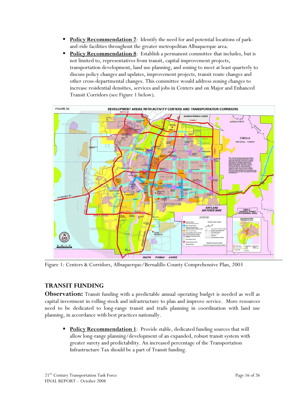- **Policy Recommendation 7**: Identify the need for and potential locations of parkand-ride facilities throughout the greater metropolitan Albuquerque area.
- **Policy Recommendation 8:** Establish a permanent committee that includes, but is not limited to, representatives from transit, capital improvement projects, transportation development, land use planning, and zoning to meet at least quarterly to discuss policy changes and updates, improvement projects, transit route changes and other cross-departmental changes. This committee would address zoning changes to increase residential densities, services and jobs in Centers and on Major and Enhanced Transit Corridors (see Figure 1 below).



Figure 1: Centers & Corridors, Albuquerque/Bernalillo County Comprehensive Plan, 2003

### **TRANSIT FUNDING**

**Observation:** Transit funding with a predictable annual operating budget is needed as well as capital investment in rolling stock and infrastructure to plan and improve service. More resources need to be dedicated to long-range transit and trails planning in coordination with land use planning, in accordance with best practices nationally.

**Policy Recommendation 1**: Provide stable, dedicated funding sources that will allow long-range planning/development of an expanded, robust transit system with greater surety and predictability. An increased percentage of the Transportation Infrastructure Tax should be a part of Transit funding.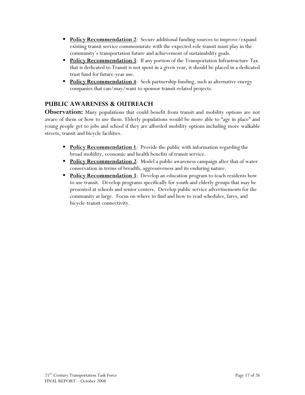- **Policy Recommendation 2:** Secure additional funding sources to improve/expand existing transit service commensurate with the expected role transit must play in the community's transportation future and achievement of sustainability goals.
- **Policy Recommendation 3:** If any portion of the Transportation Infrastructure Tax that is dedicated to Transit is not spent in a given year, it should be placed in a dedicated trust fund for future-year use.
- **Policy Recommendation 4**: Seek partnership funding, such as alternative energy companies that can/may/want to sponsor transit-related projects.

### **PUBLIC AWARENESS & OUTREACH**

**Observation:** Many populations that could benefit from transit and mobility options are not aware of them or how to use them. Elderly populations would be more able to "age in place" and young people get to jobs and school if they are afforded mobility options including more walkable streets, transit and bicycle facilities.

- **Policy Recommendation 1**: Provide the public with information regarding the broad mobility, economic and health benefits of transit service.
- **Policy Recommendation 2**: Model a public awareness campaign after that of water conservation in terms of breadth, aggressiveness and its enduring nature.
- **Policy Recommendation 3:** Develop an education program to teach residents how to use transit. Develop programs specifically for youth and elderly groups that may be presented at schools and senior centers. Develop public service advertisements for the community at large. Focus on where to find and how to read schedules, fares, and bicycle-transit connectivity.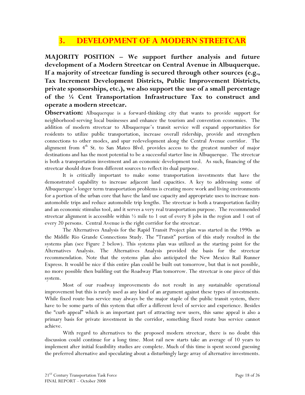## **3. DEVELOPMENT OF A MODERN STREETCAR**

**MAJORITY POSITION – We support further analysis and future development of a Modern Streetcar on Central Avenue in Albuquerque. If a majority of streetcar funding is secured through other sources (e.g., Tax Increment Development Districts, Public Improvement Districts, private sponsorships, etc.), we also support the use of a small percentage of the ¼ Cent Transportation Infrastructure Tax to construct and operate a modern streetcar.** 

**Observation:** Albuquerque is a forward-thinking city that wants to provide support for neighborhood-serving local businesses and enhance the tourism and convention economies. The addition of modern streetcar to Albuquerque's transit service will expand opportunities for residents to utilize public transportation, increase overall ridership, provide and strengthen connections to other modes, and spur redevelopment along the Central Avenue corridor. The alignment from  $4<sup>th</sup>$  St. to San Mateo Blvd. provides access to the greatest number of major destinations and has the most potential to be a successful starter line in Albuquerque. The streetcar is both a transportation investment and an economic development tool. As such, financing of the streetcar should draw from different sources to reflect its dual purpose.

It is critically important to make some transportation investments that have the demonstrated capability to increase adjacent land capacities. A key to addressing some of Albuquerque's longer term transportation problems is creating more work and living environments for a portion of the urban core that have the land use capacity and appropriate uses to increase nonautomobile trips and reduce automobile trip lengths. The streetcar is both a transportation facility and an economic stimulus tool, and it serves a very real transportation purpose. The recommended streetcar alignment is accessible within  $\frac{1}{2}$  mile to 1 out of every 8 jobs in the region and 1 out of every 20 persons. Central Avenue is the right corridor for the streetcar.

The Alternatives Analysis for the Rapid Transit Project plan was started in the 1990s as the Middle Rio Grande Connections Study. The "Transit" portion of this study resulted in the systems plan (see Figure 2 below). This systems plan was utilized as the starting point for the Alternatives Analysis. The Alternatives Analysis provided the basis for the streetcar recommendation. Note that the systems plan also anticipated the New Mexico Rail Runner Express. It would be nice if this entire plan could be built out tomorrow, but that is not possible, no more possible then building out the Roadway Plan tomorrow. The streetcar is one piece of this system.

Most of our roadway improvements do not result in any sustainable operational improvement but this is rarely used as any kind of an argument against these types of investments. While fixed route bus service may always be the major staple of the public transit system, there have to be some parts of this system that offer a different level of service and experience. Besides the "curb appeal" which is an important part of attracting new users, this same appeal is also a primary basis for private investment in the corridor, something fixed route bus service cannot achieve.

With regard to alternatives to the proposed modern streetcar, there is no doubt this discussion could continue for a long time. Most rail new starts take an average of 10 years to implement after initial feasibility studies are complete. Much of this time is spent second guessing the preferred alternative and speculating about a disturbingly large array of alternative investments.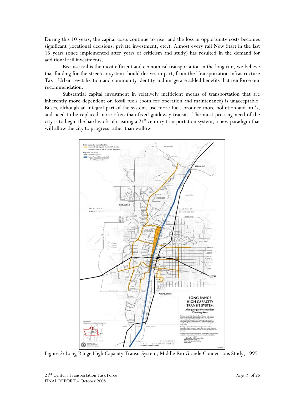During this 10 years, the capital costs continue to rise, and the loss in opportunity costs becomes significant (locational decisions, private investment, etc.). Almost every rail New Start in the last 15 years (once implemented after years of criticism and study) has resulted in the demand for additional rail investments.

Because rail is the most efficient and economical transportation in the long run, we believe that funding for the streetcar system should derive, in part, from the Transportation Infrastructure Tax. Urban revitalization and community identity and image are added benefits that reinforce our recommendation.

Substantial capital investment in relatively inefficient means of transportation that are inherently more dependent on fossil fuels (both for operation and maintenance) is unacceptable. Buses, although an integral part of the system, use more fuel, produce more pollution and btu's, and need to be replaced more often than fixed-guideway transit. The most pressing need of the city is to begin the hard work of creating a  $21<sup>st</sup>$  century transportation system, a new paradigm that will allow the city to progress rather than wallow.



Figure 2: Long Range High Capacity Transit System, Middle Rio Grande Connections Study, 1999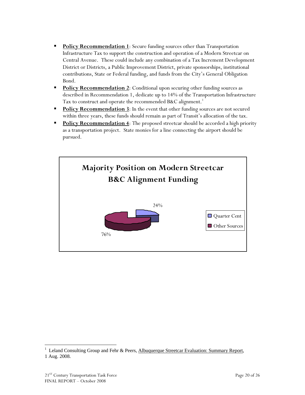- **Policy Recommendation 1**: Secure funding sources other than Transportation Infrastructure Tax to support the construction and operation of a Modern Streetcar on Central Avenue. These could include any combination of a Tax Increment Development District or Districts, a Public Improvement District, private sponsorships, institutional contributions, State or Federal funding, and funds from the City's General Obligation Bond.
- **Policy Recommendation 2:** Conditional upon securing other funding sources as described in Recommendation 1, dedicate up to 14% of the Transportation Infrastructure Tax to construct and operate the recommended B&C alignment.<sup>1</sup>
- **Policy Recommendation 3**: In the event that other funding sources are not secured within three years, these funds should remain as part of Transit's allocation of the tax.
- **Policy Recommendation 4**: The proposed streetcar should be accorded a high priority as a transportation project. State monies for a line connecting the airport should be pursued.



1

<sup>1</sup> Leland Consulting Group and Fehr & Peers, Albuquerque Streetcar Evaluation: Summary Report, 1 Aug. 2008.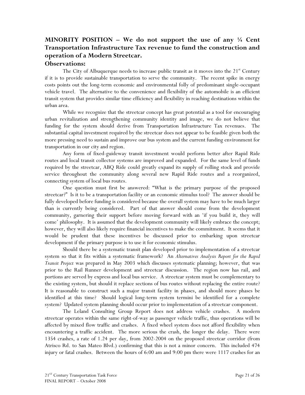## **MINORITY POSITION – We do not support the use of any ¼ Cent Transportation Infrastructure Tax revenue to fund the construction and operation of a Modern Streetcar.**

#### **Observations:**

The City of Albuquerque needs to increase public transit as it moves into the  $21<sup>st</sup>$  Century if it is to provide sustainable transportation to serve the community. The recent spike in energy costs points out the long-term economic and environmental folly of predominant single-occupant vehicle travel. The alternative to the convenience and flexibility of the automobile is an efficient transit system that provides similar time efficiency and flexibility in reaching destinations within the urban area.

While we recognize that the streetcar concept has great potential as a tool for encouraging urban revitalization and strengthening community identity and image, we do not believe that funding for the system should derive from Transportation Infrastructure Tax revenues. The substantial capital investment required by the streetcar does not appear to be feasible given both the more pressing need to sustain and improve our bus system and the current funding environment for transportation in our city and region.

Any form of fixed-guideway transit investment would perform better after Rapid Ride routes and local transit collector systems are improved and expanded. For the same level of funds required by the streetcar, ABQ Ride could greatly expand its supply of rolling stock and provide service throughout the community along several new Rapid Ride routes and a reorganized, connecting system of local bus routes.

One question must first be answered: "What is the primary purpose of the proposed streetcar?" Is it to be a transportation facility or an economic stimulus tool? The answer should be fully developed before funding is considered because the overall system may have to be much larger than is currently being considered. Part of that answer should come from the development community, garnering their support before moving forward with an 'if you build it, they will come' philosophy. It is assumed that the development community will likely embrace the concept; however, they will also likely require financial incentives to make the commitment. It seems that it would be prudent that these incentives be discussed prior to embarking upon streetcar development if the primary purpose is to use it for economic stimulus.

Should there be a systematic transit plan developed prior to implementation of a streetcar system so that it fits within a systematic framework? An *Alternatives Analysis Report for the Rapid Transit Project* was prepared in May 2003 which discusses systematic planning; however, that was prior to the Rail Runner development and streetcar discussion. The region now has rail, and portions are served by express and local bus service. A streetcar system must be complementary to the existing system, but should it replace sections of bus routes without replacing the entire route? It is reasonable to construct such a major transit facility in phases, and should more phases be identified at this time? Should logical long-term system termini be identified for a complete system? Updated system planning should occur prior to implementation of a streetcar component.

The Leland Consulting Group Report does not address vehicle crashes. A modern streetcar operates within the same right-of-way as passenger vehicle traffic, thus operations will be affected by mixed flow traffic and crashes. A fixed wheel system does not afford flexibility when encountering a traffic accident. The more serious the crash, the longer the delay. There were 1354 crashes, a rate of 1.24 per day, from 2002-2004 on the proposed streetcar corridor (from Atrisco Rd. to San Mateo Blvd.) confirming that this is not a minor concern. This included 474 injury or fatal crashes. Between the hours of 6:00 am and 9:00 pm there were 1117 crashes for an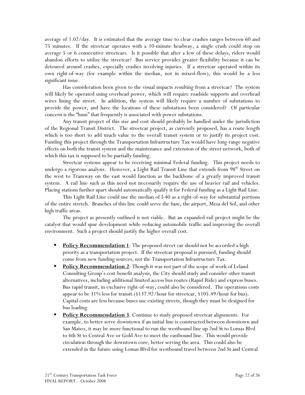average of 1.02/day. It is estimated that the average time to clear crashes ranges between 60 and 75 minutes. If the streetcar operates with a 10-minute headway, a single crash could stop on average 5 or 6 consecutive streetcars. Is it possible that after a few of these delays, riders would abandon efforts to utilize the streetcar? Bus service provides greater flexibility because it can be detoured around crashes, especially crashes involving injuries. If a streetcar operated within its own right-of-way (for example within the median, not in mixed-flow), this would be a less significant issue.

Has consideration been given to the visual impacts resulting from a streetcar? The system will likely be operated using overhead power, which will require roadside supports and overhead wires lining the street. In addition, the system will likely require a number of substations to provide the power, and have the locations of these substations been considered? Of particular concern is the "hum" that frequently is associated with power substations.

Any transit project of this size and cost should probably be handled under the jurisdiction of the Regional Transit District. The streetcar project, as currently proposed, has a route length which is too short to add much value to the overall transit system or to justify its project cost. Funding this project through the Transportation Infrastructure Tax would have long-range negative effects on both the transit system and the maintenance and extension of the street network, both of which this tax is supposed to be partially funding.

Streetcar systems appear to be receiving minimal Federal funding. This project needs to undergo a rigorous analysis. However, a Light Rail Transit Line that extends from 98<sup>th</sup> Street on the west to Tramway on the east would function as the backbone of a greatly improved transit system. A rail line such as this need not necessarily require the use of heavier rail and vehicles. Placing stations further apart should automatically qualify it for Federal funding as a Light Rail Line.

This Light Rail Line could use the median of I-40 as a right-of-way for substantial portions of the entire stretch. Branches of this line could serve the base, the airport, Mesa del Sol, and other high traffic areas.

The project as presently outlined is not viable. But an expanded rail project might be the catalyst that would spur development while reducing automobile traffic and improving the overall environment. Such a project should justify the higher overall cost.

- **Policy Recommendation 1**: The proposed street car should not be accorded a high priority as a transportation project. If the streetcar proposal is pursued, funding should come from new funding sources, not the Transportation Infrastructure Tax.
- **Policy Recommendation 2:** Though it was not part of the scope of work of Leland Consulting Group's cost-benefit analysis, the City should study and consider other transit alternatives, including additional limited access bus routes (Rapid Ride) and express buses. Bus rapid transit, in exclusive right-of-way, could also be considered. The operations costs appear to be 31% less for transit (\$137.92/hour for streetcar, \$105.49/hour for bus). Capital costs are less because buses use existing streets, though they must be designed for bus loading.
- **Policy Recommendation 3:** Continue to study proposed streetcar alignments. For example, to better serve downtown if an initial line is constructed between downtown and San Mateo, it may be more functional to run the westbound line up 2nd St to Lomas Blvd to 6th St to Central Ave or Gold Ave to meet the eastbound line. This would provide circulation through the downtown core, better serving the area. This could also be extended in the future using Lomas Blvd for westbound travel between 2nd St and Central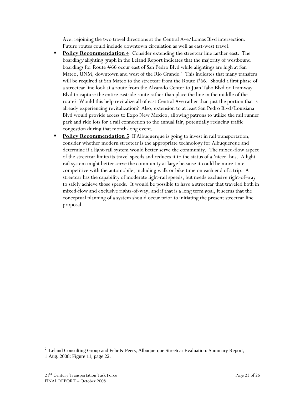Ave, rejoining the two travel directions at the Central Ave/Lomas Blvd intersection. Future routes could include downtown circulation as well as east-west travel.

- **Policy Recommendation 4:** Consider extending the streetcar line farther east. The boarding/alighting graph in the Leland Report indicates that the majority of westbound boardings for Route #66 occur east of San Pedro Blvd while alightings are high at San Mateo, UNM, downtown and west of the Rio Grande.<sup>2</sup> This indicates that many transfers will be required at San Mateo to the streetcar from the Route #66. Should a first phase of a streetcar line look at a route from the Alvarado Center to Juan Tabo Blvd or Tramway Blvd to capture the entire eastside route rather than place the line in the middle of the route? Would this help revitalize all of east Central Ave rather than just the portion that is already experiencing revitalization? Also, extension to at least San Pedro Blvd/Louisiana Blvd would provide access to Expo New Mexico, allowing patrons to utilize the rail runner park and ride lots for a rail connection to the annual fair, potentially reducing traffic congestion during that month-long event.
- **Policy Recommendation 5**: If Albuquerque is going to invest in rail transportation, consider whether modern streetcar is the appropriate technology for Albuquerque and determine if a light-rail system would better serve the community. The mixed-flow aspect of the streetcar limits its travel speeds and reduces it to the status of a 'nicer' bus. A light rail system might better serve the community at large because it could be more time competitive with the automobile, including walk or bike time on each end of a trip. A streetcar has the capability of moderate light-rail speeds, but needs exclusive right-of-way to safely achieve those speeds. It would be possible to have a streetcar that traveled both in mixed-flow and exclusive rights-of-way; and if that is a long term goal, it seems that the conceptual planning of a system should occur prior to initiating the present streetcar line proposal.

 $\overline{a}$ 

<sup>2</sup> Leland Consulting Group and Fehr & Peers, Albuquerque Streetcar Evaluation: Summary Report, 1 Aug. 2008: Figure 11, page 22.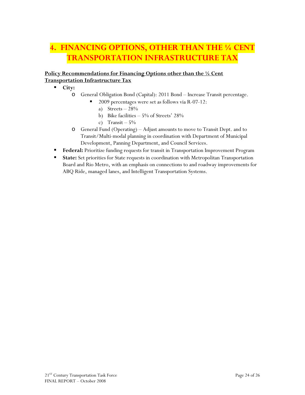## **4. FINANCING OPTIONS, OTHER THAN THE ¼ CENT TRANSPORTATION INFRASTRUCTURE TAX**

#### **Policy Recommendations for Financing Options other than the ¼ Cent Transportation Infrastructure Tax**

**City:** 

- o General Obligation Bond (Capital): 2011 Bond Increase Transit percentage.
	- 2009 percentages were set as follows via R-07-12:
		- a) Streets  $-28%$
		- b) Bike facilities 5% of Streets' 28%
		- c) Transit  $-5\%$
- o General Fund (Operating) Adjust amounts to move to Transit Dept. and to Transit/Multi-modal planning in coordination with Department of Municipal Development, Panning Department, and Council Services.
- **Federal:** Prioritize funding requests for transit in Transportation Improvement Program
- **State:** Set priorities for State requests in coordination with Metropolitan Transportation Board and Rio Metro, with an emphasis on connections to and roadway improvements for ABQ Ride, managed lanes, and Intelligent Transportation Systems.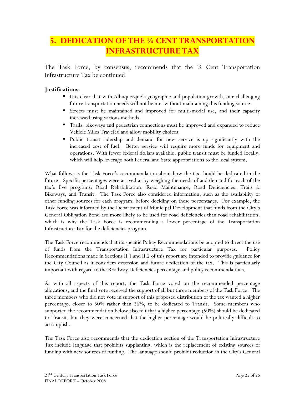## **5. DEDICATION OF THE ¼ CENT TRANSPORTATION INFRASTRUCTURE TAX**

The Task Force, by consensus, recommends that the ¼ Cent Transportation Infrastructure Tax be continued.

#### **Justifications:**

- It is clear that with Albuquerque's geographic and population growth, our challenging future transportation needs will not be met without maintaining this funding source.
- Streets must be maintained and improved for multi-modal use, and their capacity increased using various methods.
- Trails, bikeways and pedestrian connections must be improved and expanded to reduce Vehicle Miles Traveled and allow mobility choices.
- Public transit ridership and demand for new service is up significantly with the increased cost of fuel. Better service will require more funds for equipment and operations. With fewer federal dollars available, public transit must be funded locally, which will help leverage both Federal and State appropriations to the local system.

What follows is the Task Force's recommendation about how the tax should be dedicated in the future. Specific percentages were arrived at by weighing the needs of and demand for each of the tax's five programs: Road Rehabilitation, Road Maintenance, Road Deficiencies, Trails & Bikeways, and Transit. The Task Force also considered information, such as the availability of other funding sources for each program, before deciding on these percentages. For example, the Task Force was informed by the Department of Municipal Development that funds from the City's General Obligation Bond are more likely to be used for road deficiencies than road rehabilitation, which is why the Task Force is recommending a lower percentage of the Transportation Infrastructure Tax for the deficiencies program.

The Task Force recommends that its specific Policy Recommendations be adopted to direct the use of funds from the Transportation Infrastructure Tax for particular purposes. Policy Recommendations made in Sections II.1 and II.2 of this report are intended to provide guidance for the City Council as it considers extension and future dedication of the tax. This is particularly important with regard to the Roadway Deficiencies percentage and policy recommendations.

As with all aspects of this report, the Task Force voted on the recommended percentage allocations, and the final vote received the support of all but three members of the Task Force. The three members who did not vote in support of this proposed distribution of the tax wanted a higher percentage, closer to 50% rather than 36%, to be dedicated to Transit. Some members who supported the recommendation below also felt that a higher percentage (50%) should be dedicated to Transit, but they were concerned that the higher percentage would be politically difficult to accomplish.

The Task Force also recommends that the dedication section of the Transportation Infrastructure Tax include language that prohibits supplanting, which is the replacement of existing sources of funding with new sources of funding. The language should prohibit reduction in the City's General